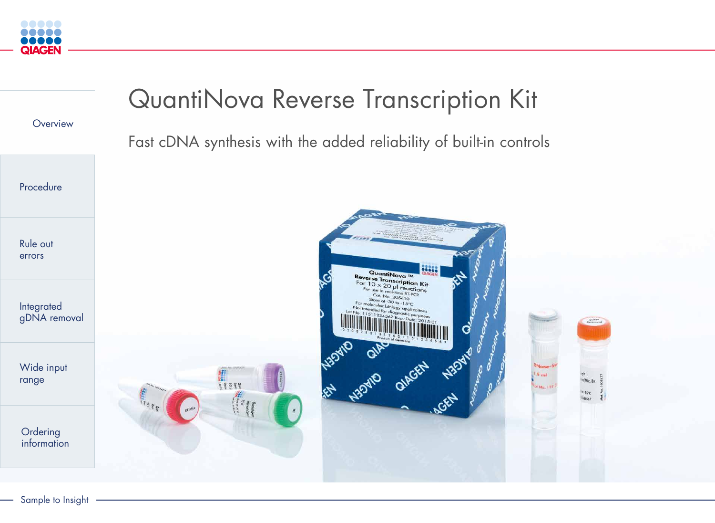

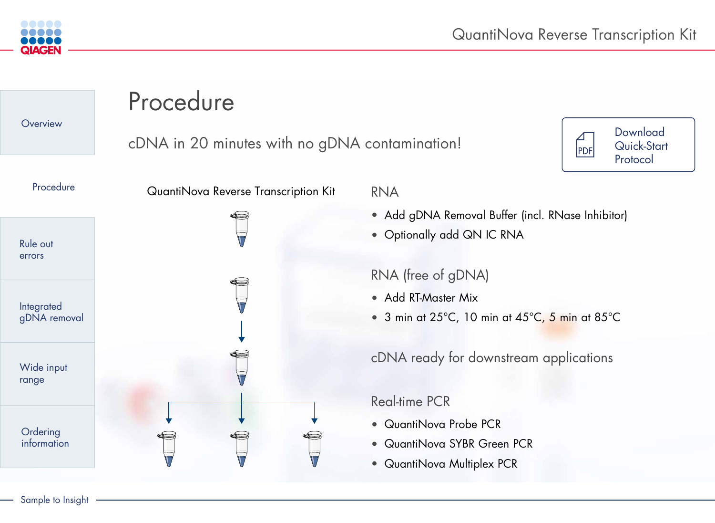- Add RT-Master Mix
- 3 min at 25°C, 10 min at 45°C, 5 min at 85°C



# RNA

- Add gDNA Removal Buffer (incl. RNase Inhibitor)
- Optionally add QN IC RNA





# RNA (free of gDNA)

cDNA ready for downstream applications

### Real-time PCR

- QuantiNova Probe PCR
- QuantiNova SYBR Green PCR
- QuantiNova Multiplex PCR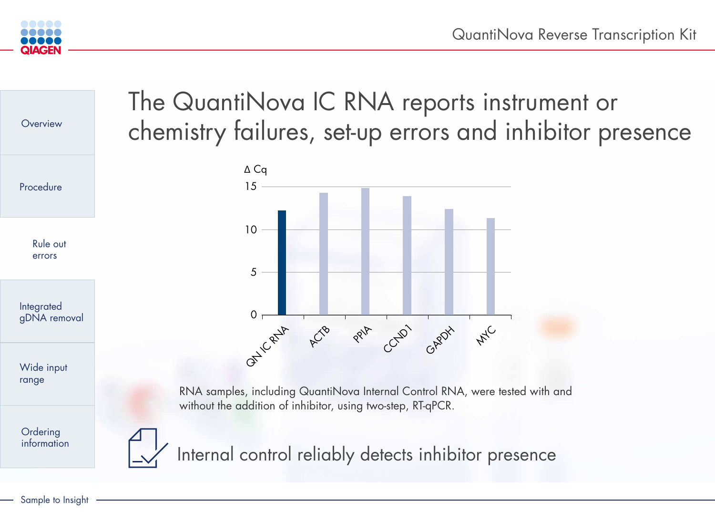



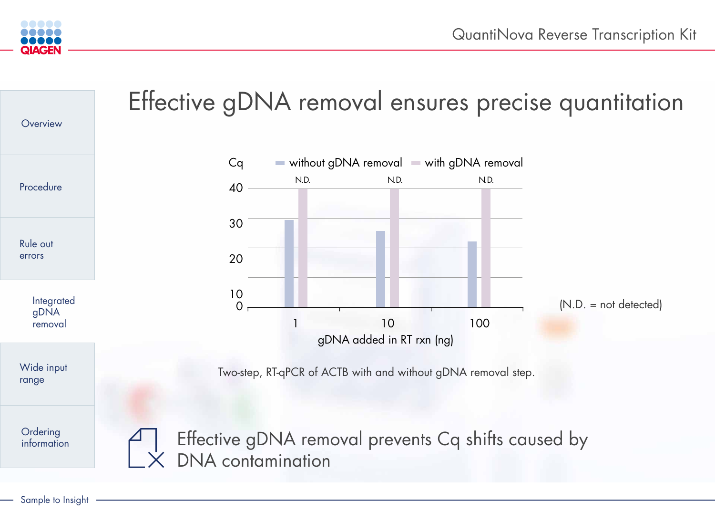

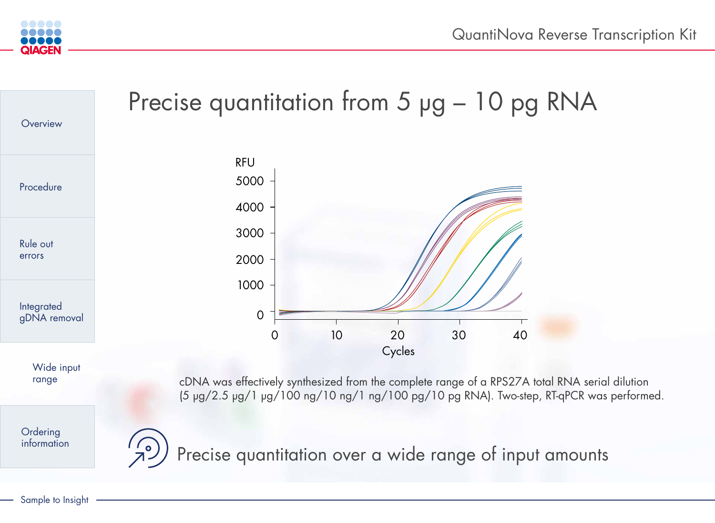